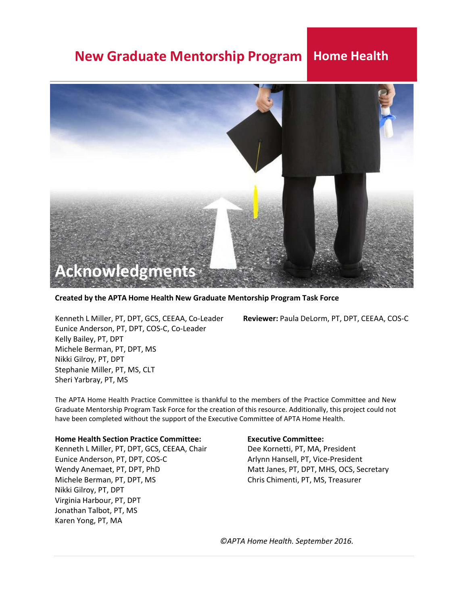

**Created by the APTA Home Health New Graduate Mentorship Program Task Force**

<span id="page-0-0"></span>Eunice Anderson, PT, DPT, COS‐C, Co‐Leader Kelly Bailey, PT, DPT Michele Berman, PT, DPT, MS Nikki Gilroy, PT, DPT Stephanie Miller, PT, MS, CLT Sheri Yarbray, PT, MS

Kenneth L Miller, PT, DPT, GCS, CEEAA, Co‐Leader **Reviewer:** Paula DeLorm, PT, DPT, CEEAA, COS‐C

The APTA Home Health Practice Committee is thankful to the members of the Practice Committee and New Graduate Mentorship Program Task Force for the creation of this resource. Additionally, this project could not have been completed without the support of the Executive Committee of APTA Home Health.

#### **Home Health Section Practice Committee: Executive Committee:**

Kenneth L Miller, PT, DPT, GCS, CEEAA, Chair Dee Kornetti, PT, MA, President Eunice Anderson, PT, DPT, COS‐C Arlynn Hansell, PT, Vice‐President Wendy Anemaet, PT, DPT, PhD Matt Janes, PT, DPT, MHS, OCS, Secretary Michele Berman, PT, DPT, MS Chris Chimenti, PT, MS, Treasurer Nikki Gilroy, PT, DPT Virginia Harbour, PT, DPT Jonathan Talbot, PT, MS Karen Yong, PT, MA

*©APTA Home Health. September 2016.*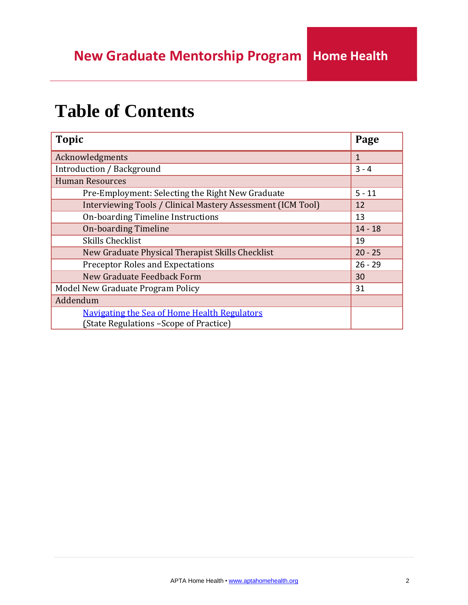# **Table of Contents**

| <b>Topic</b>                                                                                   | Page      |  |  |  |
|------------------------------------------------------------------------------------------------|-----------|--|--|--|
| Acknowledgments                                                                                | 1         |  |  |  |
| Introduction / Background                                                                      | $3 - 4$   |  |  |  |
| <b>Human Resources</b>                                                                         |           |  |  |  |
| Pre-Employment: Selecting the Right New Graduate                                               | $5 - 11$  |  |  |  |
| Interviewing Tools / Clinical Mastery Assessment (ICM Tool)                                    | 12        |  |  |  |
| On-boarding Timeline Instructions                                                              | 13        |  |  |  |
| <b>On-boarding Timeline</b>                                                                    |           |  |  |  |
| <b>Skills Checklist</b>                                                                        | 19        |  |  |  |
| New Graduate Physical Therapist Skills Checklist                                               | $20 - 25$ |  |  |  |
| <b>Preceptor Roles and Expectations</b>                                                        | $26 - 29$ |  |  |  |
| New Graduate Feedback Form                                                                     | 30        |  |  |  |
| Model New Graduate Program Policy                                                              | 31        |  |  |  |
| Addendum                                                                                       |           |  |  |  |
| <b>Navigating the Sea of Home Health Regulators</b><br>(State Regulations - Scope of Practice) |           |  |  |  |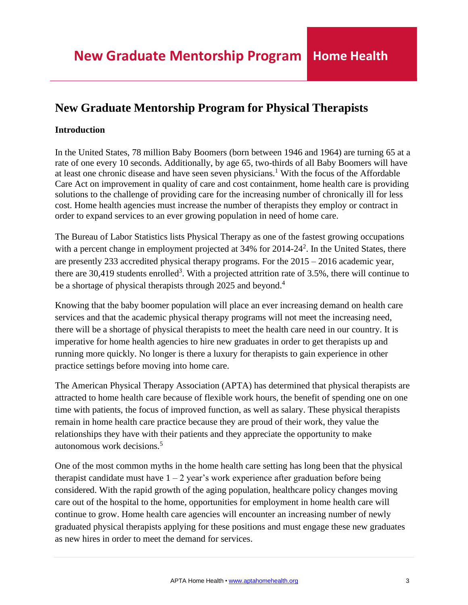## <span id="page-2-0"></span>**New Graduate Mentorship Program for Physical Therapists**

## **Introduction**

In the United States, 78 million Baby Boomers (born between 1946 and 1964) are turning 65 at a rate of one every 10 seconds. Additionally, by age 65, two-thirds of all Baby Boomers will have at least one chronic disease and have seen seven physicians.<sup>1</sup> With the focus of the Affordable Care Act on improvement in quality of care and cost containment, home health care is providing solutions to the challenge of providing care for the increasing number of chronically ill for less cost. Home health agencies must increase the number of therapists they employ or contract in order to expand services to an ever growing population in need of home care.

The Bureau of Labor Statistics lists Physical Therapy as one of the fastest growing occupations with a percent change in employment projected at 34% for 2014-24<sup>2</sup>. In the United States, there are presently 233 accredited physical therapy programs. For the 2015 – 2016 academic year, there are 30,419 students enrolled<sup>3</sup>. With a projected attrition rate of 3.5%, there will continue to be a shortage of physical therapists through 2025 and beyond.<sup>4</sup>

Knowing that the baby boomer population will place an ever increasing demand on health care services and that the academic physical therapy programs will not meet the increasing need, there will be a shortage of physical therapists to meet the health care need in our country. It is imperative for home health agencies to hire new graduates in order to get therapists up and running more quickly. No longer is there a luxury for therapists to gain experience in other practice settings before moving into home care.

The American Physical Therapy Association (APTA) has determined that physical therapists are attracted to home health care because of flexible work hours, the benefit of spending one on one time with patients, the focus of improved function, as well as salary. These physical therapists remain in home health care practice because they are proud of their work, they value the relationships they have with their patients and they appreciate the opportunity to make autonomous work decisions.<sup>5</sup>

One of the most common myths in the home health care setting has long been that the physical therapist candidate must have  $1 - 2$  year's work experience after graduation before being considered. With the rapid growth of the aging population, healthcare policy changes moving care out of the hospital to the home, opportunities for employment in home health care will continue to grow. Home health care agencies will encounter an increasing number of newly graduated physical therapists applying for these positions and must engage these new graduates as new hires in order to meet the demand for services.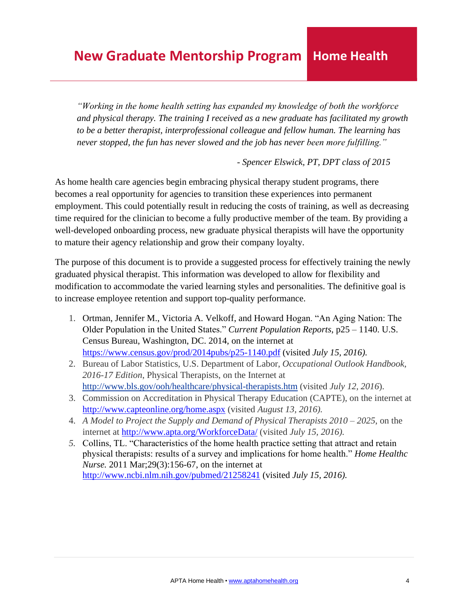*"Working in the home health setting has expanded my knowledge of both the workforce and physical therapy. The training I received as a new graduate has facilitated my growth to be a better therapist, interprofessional colleague and fellow human. The learning has never stopped, the fun has never slowed and the job has never been more fulfilling."*

*- Spencer Elswick, PT, DPT class of 2015*

As home health care agencies begin embracing physical therapy student programs, there becomes a real opportunity for agencies to transition these experiences into permanent employment. This could potentially result in reducing the costs of training, as well as decreasing time required for the clinician to become a fully productive member of the team. By providing a well-developed onboarding process, new graduate physical therapists will have the opportunity to mature their agency relationship and grow their company loyalty.

The purpose of this document is to provide a suggested process for effectively training the newly graduated physical therapist. This information was developed to allow for flexibility and modification to accommodate the varied learning styles and personalities. The definitive goal is to increase employee retention and support top-quality performance.

- 1. Ortman, Jennifer M., Victoria A. Velkoff, and Howard Hogan. "An Aging Nation: The Older Population in the United States." *Current Population Reports*, p25 – 1140. U.S. Census Bureau, Washington, DC. 2014, on the internet at [https://www.census.gov/prod/2014pubs/p25-1140.pdf](http://www.census.gov/prod/2014pubs/p25-1140.pdf) (visited *July 15, 2016).*
- 2. Bureau of Labor Statistics, U.S. Department of Labor, *Occupational Outlook Handbook, 2016-17 Edition*, Physical Therapists, on the Internet at <http://www.bls.gov/ooh/healthcare/physical-therapists.htm> (visited *July 12, 2016*).
- 3. Commission on Accreditation in Physical Therapy Education (CAPTE), on the internet at <http://www.capteonline.org/home.aspx> (visited *August 13, 2016).*
- 4. *A Model to Project the Supply and Demand of Physical Therapists 2010 – 2025*, on the internet at <http://www.apta.org/WorkforceData/> (visited *July 15, 2016).*
- *5.* Collins, TL. "Characteristics of the home health practice setting that attract and retain physical therapists: results of a survey and implications for home health." *Home Healthc Nurse.* 2011 Mar;29(3):156-67, on the internet at <http://www.ncbi.nlm.nih.gov/pubmed/21258241> (visited *July 15, 2016).*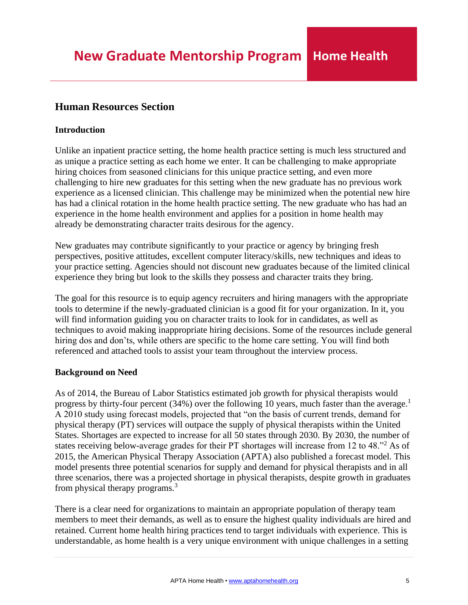## <span id="page-4-0"></span>**Human Resources Section**

## **Introduction**

Unlike an inpatient practice setting, the home health practice setting is much less structured and as unique a practice setting as each home we enter. It can be challenging to make appropriate hiring choices from seasoned clinicians for this unique practice setting, and even more challenging to hire new graduates for this setting when the new graduate has no previous work experience as a licensed clinician. This challenge may be minimized when the potential new hire has had a clinical rotation in the home health practice setting. The new graduate who has had an experience in the home health environment and applies for a position in home health may already be demonstrating character traits desirous for the agency.

New graduates may contribute significantly to your practice or agency by bringing fresh perspectives, positive attitudes, excellent computer literacy/skills, new techniques and ideas to your practice setting. Agencies should not discount new graduates because of the limited clinical experience they bring but look to the skills they possess and character traits they bring.

The goal for this resource is to equip agency recruiters and hiring managers with the appropriate tools to determine if the newly-graduated clinician is a good fit for your organization. In it, you will find information guiding you on character traits to look for in candidates, as well as techniques to avoid making inappropriate hiring decisions. Some of the resources include general hiring dos and don'ts, while others are specific to the home care setting. You will find both referenced and attached tools to assist your team throughout the interview process.

## **Background on Need**

As of 2014, the Bureau of Labor Statistics estimated job growth for physical therapists would progress by thirty-four percent (34%) over the following 10 years, much faster than the average.<sup>1</sup> A 2010 study using forecast models, projected that "on the basis of current trends, demand for physical therapy (PT) services will outpace the supply of physical therapists within the United States. Shortages are expected to increase for all 50 states through 2030. By 2030, the number of states receiving below-average grades for their PT shortages will increase from 12 to 48."<sup>2</sup> As of 2015, the American Physical Therapy Association (APTA) also published a forecast model. This model presents three potential scenarios for supply and demand for physical therapists and in all three scenarios, there was a projected shortage in physical therapists, despite growth in graduates from physical therapy programs.<sup>3</sup>

There is a clear need for organizations to maintain an appropriate population of therapy team members to meet their demands, as well as to ensure the highest quality individuals are hired and retained. Current home health hiring practices tend to target individuals with experience. This is understandable, as home health is a very unique environment with unique challenges in a setting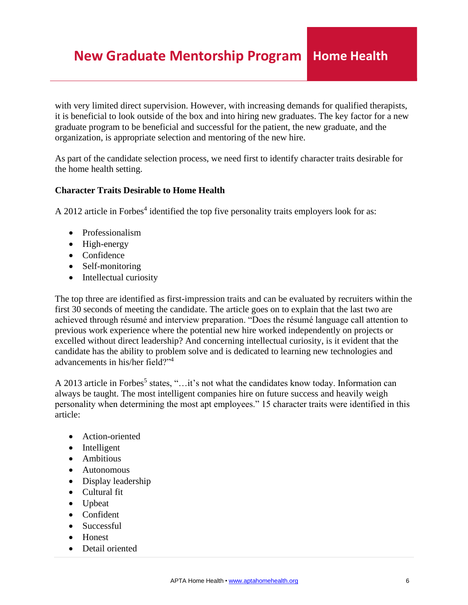with very limited direct supervision. However, with increasing demands for qualified therapists, it is beneficial to look outside of the box and into hiring new graduates. The key factor for a new graduate program to be beneficial and successful for the patient, the new graduate, and the organization, is appropriate selection and mentoring of the new hire.

As part of the candidate selection process, we need first to identify character traits desirable for the home health setting.

## **Character Traits Desirable to Home Health**

A 2012 article in Forbes<sup>4</sup> identified the top five personality traits employers look for as:

- Professionalism
- High-energy
- Confidence
- Self-monitoring
- Intellectual curiosity

The top three are identified as first-impression traits and can be evaluated by recruiters within the first 30 seconds of meeting the candidate. The article goes on to explain that the last two are achieved through résumé and interview preparation. "Does the résumé language call attention to previous work experience where the potential new hire worked independently on projects or excelled without direct leadership? And concerning intellectual curiosity, is it evident that the candidate has the ability to problem solve and is dedicated to learning new technologies and advancements in his/her field?"<sup>4</sup>

A 2013 article in Forbes<sup>5</sup> states, "...it's not what the candidates know today. Information can always be taught. The most intelligent companies hire on future success and heavily weigh personality when determining the most apt employees." 15 character traits were identified in this article:

- Action-oriented
- Intelligent
- Ambitious
- Autonomous
- Display leadership
- Cultural fit
- Upbeat
- Confident
- Successful
- Honest
- Detail oriented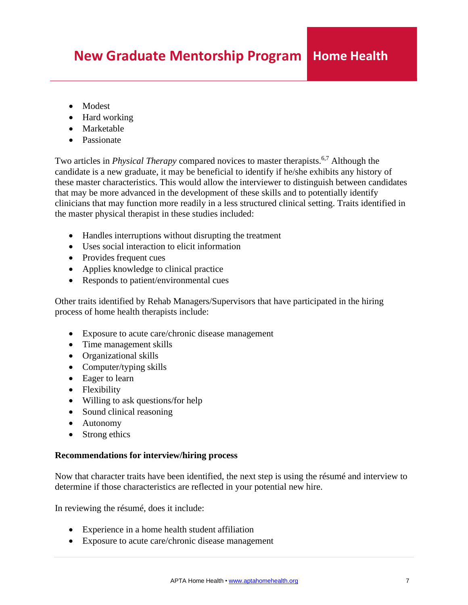- Modest
- Hard working
- Marketable
- Passionate

Two articles in *Physical Therapy* compared novices to master therapists.<sup>6,7</sup> Although the candidate is a new graduate, it may be beneficial to identify if he/she exhibits any history of these master characteristics. This would allow the interviewer to distinguish between candidates that may be more advanced in the development of these skills and to potentially identify clinicians that may function more readily in a less structured clinical setting. Traits identified in the master physical therapist in these studies included:

- Handles interruptions without disrupting the treatment
- Uses social interaction to elicit information
- Provides frequent cues
- Applies knowledge to clinical practice
- Responds to patient/environmental cues

Other traits identified by Rehab Managers/Supervisors that have participated in the hiring process of home health therapists include:

- Exposure to acute care/chronic disease management
- Time management skills
- Organizational skills
- Computer/typing skills
- Eager to learn
- Flexibility
- Willing to ask questions/for help
- Sound clinical reasoning
- Autonomy
- Strong ethics

## **Recommendations for interview/hiring process**

Now that character traits have been identified, the next step is using the résumé and interview to determine if those characteristics are reflected in your potential new hire.

In reviewing the résumé, does it include:

- Experience in a home health student affiliation
- Exposure to acute care/chronic disease management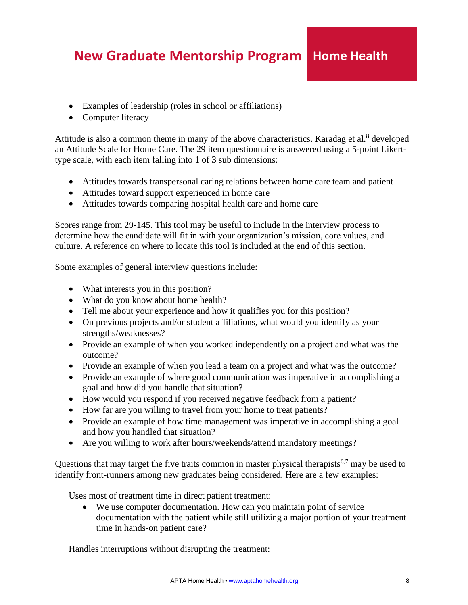- Examples of leadership (roles in school or affiliations)
- Computer literacy

Attitude is also a common theme in many of the above characteristics. Karadag et al.<sup>8</sup> developed an Attitude Scale for Home Care. The 29 item questionnaire is answered using a 5-point Likerttype scale, with each item falling into 1 of 3 sub dimensions:

- Attitudes towards transpersonal caring relations between home care team and patient
- Attitudes toward support experienced in home care
- Attitudes towards comparing hospital health care and home care

Scores range from 29-145. This tool may be useful to include in the interview process to determine how the candidate will fit in with your organization's mission, core values, and culture. A reference on where to locate this tool is included at the end of this section.

Some examples of general interview questions include:

- What interests you in this position?
- What do you know about home health?
- Tell me about your experience and how it qualifies you for this position?
- On previous projects and/or student affiliations, what would you identify as your strengths/weaknesses?
- Provide an example of when you worked independently on a project and what was the outcome?
- Provide an example of when you lead a team on a project and what was the outcome?
- Provide an example of where good communication was imperative in accomplishing a goal and how did you handle that situation?
- How would you respond if you received negative feedback from a patient?
- How far are you willing to travel from your home to treat patients?
- Provide an example of how time management was imperative in accomplishing a goal and how you handled that situation?
- Are you willing to work after hours/weekends/attend mandatory meetings?

Questions that may target the five traits common in master physical therapists<sup>6,7</sup> may be used to identify front-runners among new graduates being considered. Here are a few examples:

Uses most of treatment time in direct patient treatment:

• We use computer documentation. How can you maintain point of service documentation with the patient while still utilizing a major portion of your treatment time in hands-on patient care?

Handles interruptions without disrupting the treatment: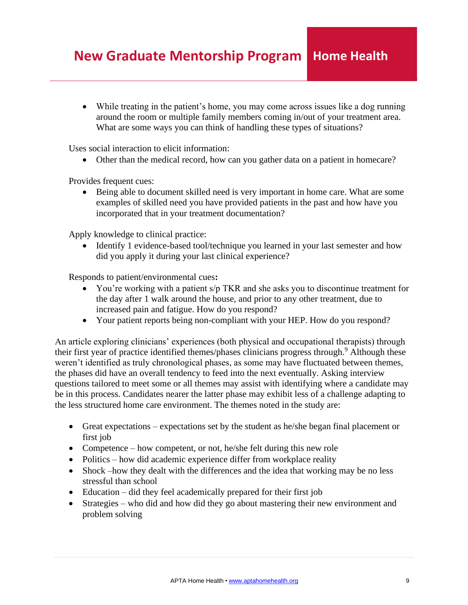• While treating in the patient's home, you may come across issues like a dog running around the room or multiple family members coming in/out of your treatment area. What are some ways you can think of handling these types of situations?

Uses social interaction to elicit information:

• Other than the medical record, how can you gather data on a patient in homecare?

Provides frequent cues:

• Being able to document skilled need is very important in home care. What are some examples of skilled need you have provided patients in the past and how have you incorporated that in your treatment documentation?

Apply knowledge to clinical practice:

• Identify 1 evidence-based tool/technique you learned in your last semester and how did you apply it during your last clinical experience?

Responds to patient/environmental cues**:**

- You're working with a patient s/p TKR and she asks you to discontinue treatment for the day after 1 walk around the house, and prior to any other treatment, due to increased pain and fatigue. How do you respond?
- Your patient reports being non-compliant with your HEP. How do you respond?

An article exploring clinicians' experiences (both physical and occupational therapists) through their first year of practice identified themes/phases clinicians progress through.<sup>9</sup> Although these weren't identified as truly chronological phases, as some may have fluctuated between themes, the phases did have an overall tendency to feed into the next eventually. Asking interview questions tailored to meet some or all themes may assist with identifying where a candidate may be in this process. Candidates nearer the latter phase may exhibit less of a challenge adapting to the less structured home care environment. The themes noted in the study are:

- Great expectations expectations set by the student as he/she began final placement or first job
- Competence how competent, or not, he/she felt during this new role
- Politics how did academic experience differ from workplace reality
- Shock –how they dealt with the differences and the idea that working may be no less stressful than school
- Education did they feel academically prepared for their first job
- Strategies who did and how did they go about mastering their new environment and problem solving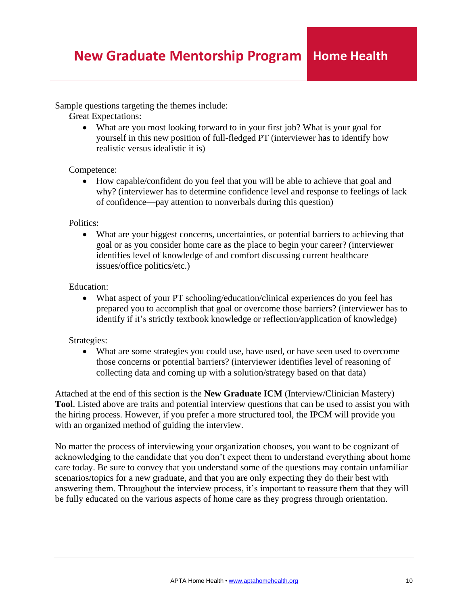Sample questions targeting the themes include:

:Great Expectations:

• What are you most looking forward to in your first job? What is your goal for yourself in this new position of full-fledged PT (interviewer has to identify how realistic versus idealistic it is)

### Competence:

• How capable/confident do you feel that you will be able to achieve that goal and why? (interviewer has to determine confidence level and response to feelings of lack of confidence—pay attention to nonverbals during this question)

Politics:

• What are your biggest concerns, uncertainties, or potential barriers to achieving that goal or as you consider home care as the place to begin your career? (interviewer identifies level of knowledge of and comfort discussing current healthcare issues/office politics/etc.)

### Education:

• What aspect of your PT schooling/education/clinical experiences do you feel has prepared you to accomplish that goal or overcome those barriers? (interviewer has to identify if it's strictly textbook knowledge or reflection/application of knowledge)

## Strategies:

• What are some strategies you could use, have used, or have seen used to overcome those concerns or potential barriers? (interviewer identifies level of reasoning of collecting data and coming up with a solution/strategy based on that data)

Attached at the end of this section is the **New Graduate ICM** (Interview/Clinician Mastery) **Tool**. Listed above are traits and potential interview questions that can be used to assist you with the hiring process. However, if you prefer a more structured tool, the IPCM will provide you with an organized method of guiding the interview.

No matter the process of interviewing your organization chooses, you want to be cognizant of acknowledging to the candidate that you don't expect them to understand everything about home care today. Be sure to convey that you understand some of the questions may contain unfamiliar scenarios/topics for a new graduate, and that you are only expecting they do their best with answering them. Throughout the interview process, it's important to reassure them that they will be fully educated on the various aspects of home care as they progress through orientation.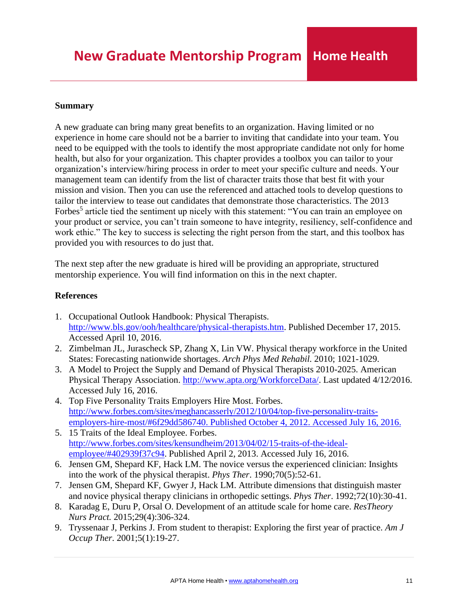## **Summary**

A new graduate can bring many great benefits to an organization. Having limited or no experience in home care should not be a barrier to inviting that candidate into your team. You need to be equipped with the tools to identify the most appropriate candidate not only for home health, but also for your organization. This chapter provides a toolbox you can tailor to your organization's interview/hiring process in order to meet your specific culture and needs. Your management team can identify from the list of character traits those that best fit with your mission and vision. Then you can use the referenced and attached tools to develop questions to tailor the interview to tease out candidates that demonstrate those characteristics. The 2013 Forbes<sup>5</sup> article tied the sentiment up nicely with this statement: "You can train an employee on your product or service, you can't train someone to have integrity, resiliency, self-confidence and work ethic." The key to success is selecting the right person from the start, and this toolbox has provided you with resources to do just that.

The next step after the new graduate is hired will be providing an appropriate, structured mentorship experience. You will find information on this in the next chapter.

## **References**

- 1. Occupational Outlook Handbook: Physical Therapists. [http://www.bls.gov/ooh/healthcare/physical-therapists.htm.](http://www.bls.gov/ooh/healthcare/physical-therapists.htm) Published December 17, 2015. Accessed April 10, 2016.
- 2. Zimbelman JL, Jurascheck SP, Zhang X, Lin VW. Physical therapy workforce in the United States: Forecasting nationwide shortages. *Arch Phys Med Rehabil.* 2010; 1021-1029.
- 3. A Model to Project the Supply and Demand of Physical Therapists 2010-2025. American Physical Therapy Association. [http://www.apta.org/WorkforceData/. L](http://www.apta.org/WorkforceData/)ast updated 4/12/2016. Accessed July 16, 2016.
- 4. Top Five Personality Traits Employers Hire Most. Forbes. [http://www.forbes.com/sites/meghancasserly/2012/10/04/top-five-personality-traits](http://www.forbes.com/sites/meghancasserly/2012/10/04/top-five-personality-traits-)employers-hire-most/#6f29dd586740. Published October 4, 2012. Accessed July 16, 2016.
- 5. 15 Traits of the Ideal Employee. Forbes. [http://www.forbes.com/sites/kensundheim/2013/04/02/15-traits-of-the-ideal](http://www.forbes.com/sites/kensundheim/2013/04/02/15-traits-of-the-ideal-)employee/#402939f37c94. Published April 2, 2013. Accessed July 16, 2016.
- 6. Jensen GM, Shepard KF, Hack LM. The novice versus the experienced clinician: Insights into the work of the physical therapist. *Phys Ther*. 1990;70(5):52-61.
- 7. Jensen GM, Shepard KF, Gwyer J, Hack LM. Attribute dimensions that distinguish master and novice physical therapy clinicians in orthopedic settings. *Phys Ther*. 1992;72(10):30-41.
- 8. Karadag E, Duru P, Orsal O. Development of an attitude scale for home care. *ResTheory Nurs Pract.* 2015;29(4):306-324.
- 9. Tryssenaar J, Perkins J. From student to therapist: Exploring the first year of practice. *Am J Occup Ther*. 2001;5(1):19-27.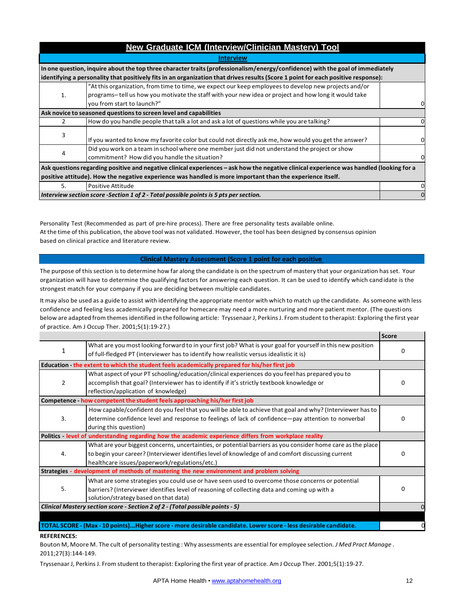<span id="page-11-0"></span>

|    | <b>New Graduate ICM (Interview/Clinician Mastery) Tool</b>                                                                               |          |  |  |  |  |
|----|------------------------------------------------------------------------------------------------------------------------------------------|----------|--|--|--|--|
|    | <b>Interview</b>                                                                                                                         |          |  |  |  |  |
|    | In one question, inquire about the top three character traits (professionalism/energy/confidence) with the goal of immediately           |          |  |  |  |  |
|    | identifying a personality that positively fits in an organization that drives results (Score 1 point for each positive response):        |          |  |  |  |  |
|    | At this organization, from time to time, we expect our keep employees to develop new projects and/or "                                   |          |  |  |  |  |
| 1. | programs-tell us how you motivate the staff with your new idea or project and how long it would take                                     |          |  |  |  |  |
|    | you from start to launch?"                                                                                                               | 0        |  |  |  |  |
|    | Ask novice to seasoned questions to screen level and capabilities                                                                        |          |  |  |  |  |
| 2  | How do you handle people that talk a lot and ask a lot of questions while you are talking?                                               | 0        |  |  |  |  |
| 3  | If you wanted to know my favorite color but could not directly ask me, how would you get the answer?                                     |          |  |  |  |  |
|    | Did you work on a team in school where one member just did not understand the project or show                                            |          |  |  |  |  |
| 4  | commitment? How did you handle the situation?                                                                                            |          |  |  |  |  |
|    | Ask questions regarding positive and negative clinical experiences – ask how the negative clinical experience was handled (looking for a |          |  |  |  |  |
|    | positive attitude). How the negative experience was handled is more important than the experience itself.                                |          |  |  |  |  |
| 5. | Positive Attitude                                                                                                                        | 0        |  |  |  |  |
|    | Interview section score -Section 1 of 2 - Total possible points is 5 pts per section.                                                    | $\Omega$ |  |  |  |  |

Personality Test (Recommended as part of pre‐hire process). There are free personality tests available online. At the time of this publication, the above tool was not validated. However, the tool has been designed by consensus opinion based on clinical practice and literature review.

#### **Clinical Mastery Assessment (Score 1 point for each positive**

.<br>The purpose of this section is to determine how far along the candidate is on the spectrum of mastery that your organization has set. Your organization will have to determine the qualifying factors for answering each question. It can be used to identify which candidate is the strongest match for your company if you are deciding between multiple candidates.

It may also be used as a guide to assist with identifying the appropriate mentor with which to match up the candidate. As someone with less confidence and feeling less academically prepared for homecare may need a more nurturing and more patient mentor. (The questions below are adapted from themes identified in the following article: Tryssenaar J, Perkins J. From student to therapist: Exploring the first year of practice. Am J Occup Ther. 2001;5(1):19‐27.)

|                |                                                                                                                                                                                                       | <b>Score</b> |
|----------------|-------------------------------------------------------------------------------------------------------------------------------------------------------------------------------------------------------|--------------|
| 1              | What are you most looking forward to in your first job? What is your goal for yourself in this new position<br>of full-fledged PT (interviewer has to identify how realistic versus idealistic it is) | O            |
|                | Education - the extent to which the student feels academically prepared for his/her first job                                                                                                         |              |
|                |                                                                                                                                                                                                       |              |
|                | What aspect of your PT schooling/education/clinical experiences do you feel has prepared you to                                                                                                       |              |
| $\overline{2}$ | accomplish that goal? (Interviewer has to identify if it's strictly textbook knowledge or                                                                                                             | 0            |
|                | reflection/application of knowledge)                                                                                                                                                                  |              |
|                | Competence - how competent the student feels approaching his/her first job                                                                                                                            |              |
|                | How capable/confident do you feel that you will be able to achieve that goal and why? (Interviewer has to                                                                                             |              |
| 3.             | determine confidence level and response to feelings of lack of confidence—pay attention to nonverbal                                                                                                  | 0            |
|                | during this question)                                                                                                                                                                                 |              |
|                | Politics - level of understanding regarding how the academic experience differs from workplace reality                                                                                                |              |
|                | What are your biggest concerns, uncertainties, or potential barriers as you consider home care as the place                                                                                           |              |
| 4.             | to begin your career? (Interviewer identifies level of knowledge of and comfort discussing current                                                                                                    | 0            |
|                | healthcare issues/paperwork/regulations/etc.)                                                                                                                                                         |              |
|                | Strategies - development of methods of mastering the new environment and problem solving                                                                                                              |              |
|                | What are some strategies you could use or have seen used to overcome those concerns or potential                                                                                                      |              |
| 5.             | barriers? (Interviewer identifies level of reasoning of collecting data and coming up with a                                                                                                          | 0            |
|                | solution/strategy based on that data)                                                                                                                                                                 |              |
|                | Clinical Mastery section score - Section 2 of 2 - (Total possible points - 5)                                                                                                                         |              |
|                |                                                                                                                                                                                                       |              |
|                |                                                                                                                                                                                                       |              |

### TOTAL SCORE - (Max - 10 points)...Higher score - more desirable candidate. Lower score - less desirable candidate.

#### **REFERENCES:**

Bouton M, Moore M. The cult of personality testing : Why assessments are essential for employee selection. *J Med Pract Manage* . 2011;27(3):144‐149.

Tryssenaar J, PerkinsJ. From student to therapist: Exploring the first year of practice. Am J Occup Ther. 2001;5(1):19‐27.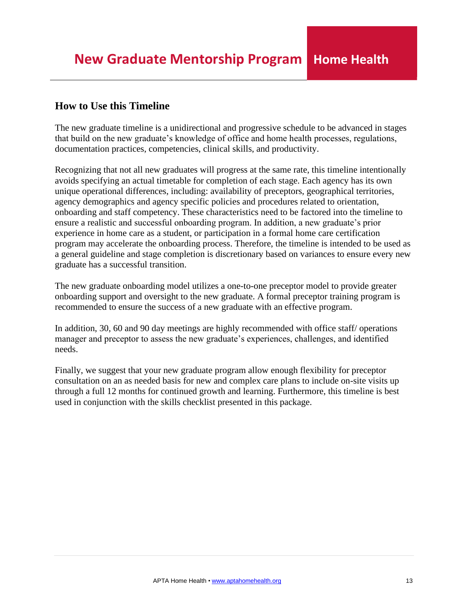## <span id="page-12-0"></span>**How to Use this Timeline**

The new graduate timeline is a unidirectional and progressive schedule to be advanced in stages that build on the new graduate's knowledge of office and home health processes, regulations, documentation practices, competencies, clinical skills, and productivity.

Recognizing that not all new graduates will progress at the same rate, this timeline intentionally avoids specifying an actual timetable for completion of each stage. Each agency has its own unique operational differences, including: availability of preceptors, geographical territories, agency demographics and agency specific policies and procedures related to orientation, onboarding and staff competency. These characteristics need to be factored into the timeline to ensure a realistic and successful onboarding program. In addition, a new graduate's prior experience in home care as a student, or participation in a formal home care certification program may accelerate the onboarding process. Therefore, the timeline is intended to be used as a general guideline and stage completion is discretionary based on variances to ensure every new graduate has a successful transition.

The new graduate onboarding model utilizes a one-to-one preceptor model to provide greater onboarding support and oversight to the new graduate. A formal preceptor training program is recommended to ensure the success of a new graduate with an effective program.

In addition, 30, 60 and 90 day meetings are highly recommended with office staff/ operations manager and preceptor to assess the new graduate's experiences, challenges, and identified needs.

Finally, we suggest that your new graduate program allow enough flexibility for preceptor consultation on an as needed basis for new and complex care plans to include on-site visits up through a full 12 months for continued growth and learning. Furthermore, this timeline is best used in conjunction with the skills checklist presented in this package.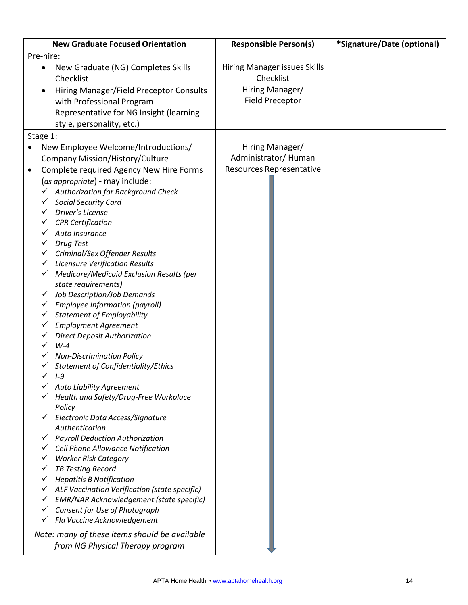<span id="page-13-0"></span>

| <b>New Graduate Focused Orientation</b>                                                                                                                                                                                                                                                                                                                                                                                                                                                                                                                                                                                                                                                                                                                                                                                                                                                                                                                                                                                                                                                                                                                                                                                                                                                                                                                                                                                                         | <b>Responsible Person(s)</b>                                                           | *Signature/Date (optional) |
|-------------------------------------------------------------------------------------------------------------------------------------------------------------------------------------------------------------------------------------------------------------------------------------------------------------------------------------------------------------------------------------------------------------------------------------------------------------------------------------------------------------------------------------------------------------------------------------------------------------------------------------------------------------------------------------------------------------------------------------------------------------------------------------------------------------------------------------------------------------------------------------------------------------------------------------------------------------------------------------------------------------------------------------------------------------------------------------------------------------------------------------------------------------------------------------------------------------------------------------------------------------------------------------------------------------------------------------------------------------------------------------------------------------------------------------------------|----------------------------------------------------------------------------------------|----------------------------|
| Pre-hire:                                                                                                                                                                                                                                                                                                                                                                                                                                                                                                                                                                                                                                                                                                                                                                                                                                                                                                                                                                                                                                                                                                                                                                                                                                                                                                                                                                                                                                       |                                                                                        |                            |
| New Graduate (NG) Completes Skills<br>Checklist<br>Hiring Manager/Field Preceptor Consults<br>with Professional Program<br>Representative for NG Insight (learning<br>style, personality, etc.)                                                                                                                                                                                                                                                                                                                                                                                                                                                                                                                                                                                                                                                                                                                                                                                                                                                                                                                                                                                                                                                                                                                                                                                                                                                 | Hiring Manager issues Skills<br>Checklist<br>Hiring Manager/<br><b>Field Preceptor</b> |                            |
| Stage 1:                                                                                                                                                                                                                                                                                                                                                                                                                                                                                                                                                                                                                                                                                                                                                                                                                                                                                                                                                                                                                                                                                                                                                                                                                                                                                                                                                                                                                                        |                                                                                        |                            |
| New Employee Welcome/Introductions/<br>Company Mission/History/Culture<br>Complete required Agency New Hire Forms<br>$\bullet$<br>(as appropriate) - may include:<br><b>Authorization for Background Check</b><br>Social Security Card<br>Driver's License<br>✓<br><b>CPR</b> Certification<br>v<br>Auto Insurance<br><b>Drug Test</b><br>Criminal/Sex Offender Results<br>V<br><b>Licensure Verification Results</b><br>✓<br>$\checkmark$ Medicare/Medicaid Exclusion Results (per<br>state requirements)<br>Job Description/Job Demands<br>✓<br>Employee Information (payroll)<br>v.<br><b>Statement of Employability</b><br>$\checkmark$<br><b>Employment Agreement</b><br>✓<br><b>Direct Deposit Authorization</b><br>$W-4$<br><b>Non-Discrimination Policy</b><br>v<br>Statement of Confidentiality/Ethics<br>$\checkmark$<br>$I-9$<br><b>Auto Liability Agreement</b><br>Health and Safety/Drug-Free Workplace<br>Policy<br>└ Electronic Data Access/Signature<br>Authentication<br>$\checkmark$ Payroll Deduction Authorization<br>$\checkmark$ Cell Phone Allowance Notification<br><b>Worker Risk Category</b><br><b>TB Testing Record</b><br><b>Hepatitis B Notification</b><br>✓<br>ALF Vaccination Verification (state specific)<br>✓<br><b>EMR/NAR Acknowledgement (state specific)</b><br>✓<br>Consent for Use of Photograph<br>✓<br>Flu Vaccine Acknowledgement<br>$\checkmark$<br>Note: many of these items should be available | Hiring Manager/<br>Administrator/Human<br>Resources Representative                     |                            |
| from NG Physical Therapy program                                                                                                                                                                                                                                                                                                                                                                                                                                                                                                                                                                                                                                                                                                                                                                                                                                                                                                                                                                                                                                                                                                                                                                                                                                                                                                                                                                                                                |                                                                                        |                            |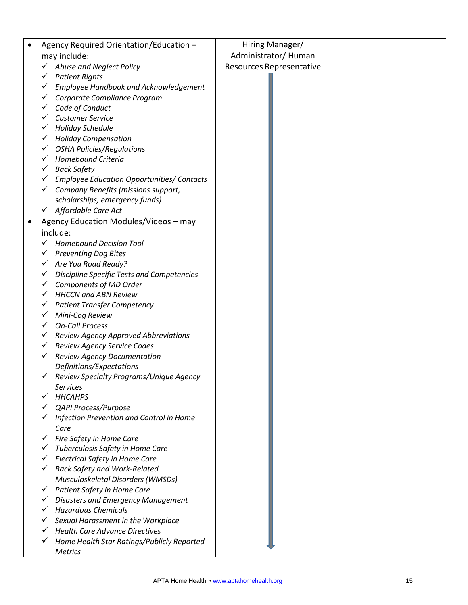| Agency Required Orientation/Education -                                   | Hiring Manager/          |  |
|---------------------------------------------------------------------------|--------------------------|--|
| may include:                                                              | Administrator/Human      |  |
| Abuse and Neglect Policy                                                  | Resources Representative |  |
| <b>Patient Rights</b><br>✓                                                |                          |  |
| Employee Handbook and Acknowledgement                                     |                          |  |
| Corporate Compliance Program                                              |                          |  |
| Code of Conduct                                                           |                          |  |
| <b>Customer Service</b>                                                   |                          |  |
| <b>Holiday Schedule</b><br>✓                                              |                          |  |
| <b>Holiday Compensation</b><br>✓                                          |                          |  |
| <b>OSHA Policies/Regulations</b><br>✓                                     |                          |  |
| Homebound Criteria<br>✓                                                   |                          |  |
| <b>Back Safety</b><br>✓                                                   |                          |  |
| <b>Employee Education Opportunities/ Contacts</b>                         |                          |  |
| Company Benefits (missions support,                                       |                          |  |
| scholarships, emergency funds)                                            |                          |  |
| $\checkmark$ Affordable Care Act                                          |                          |  |
| Agency Education Modules/Videos - may                                     |                          |  |
| include:                                                                  |                          |  |
| <b>Homebound Decision Tool</b>                                            |                          |  |
|                                                                           |                          |  |
| <b>Preventing Dog Bites</b>                                               |                          |  |
| Are You Road Ready?                                                       |                          |  |
| Discipline Specific Tests and Competencies<br>✓<br>Components of MD Order |                          |  |
| <b>HHCCN and ABN Review</b>                                               |                          |  |
| <b>Patient Transfer Competency</b><br>✓                                   |                          |  |
| Mini-Cog Review<br>✓                                                      |                          |  |
| <b>On-Call Process</b>                                                    |                          |  |
| Review Agency Approved Abbreviations                                      |                          |  |
| Review Agency Service Codes<br>✓                                          |                          |  |
| <b>Review Agency Documentation</b><br>✓                                   |                          |  |
| Definitions/Expectations                                                  |                          |  |
| Review Specialty Programs/Unique Agency<br>$\checkmark$                   |                          |  |
| <b>Services</b>                                                           |                          |  |
| <b>HHCAHPS</b>                                                            |                          |  |
| <b>QAPI Process/Purpose</b>                                               |                          |  |
| Infection Prevention and Control in Home                                  |                          |  |
| Care                                                                      |                          |  |
| Fire Safety in Home Care<br>✓                                             |                          |  |
| Tuberculosis Safety in Home Care                                          |                          |  |
| <b>Electrical Safety in Home Care</b>                                     |                          |  |
| <b>Back Safety and Work-Related</b>                                       |                          |  |
| Musculoskeletal Disorders (WMSDs)                                         |                          |  |
| Patient Safety in Home Care<br>✓                                          |                          |  |
| Disasters and Emergency Management                                        |                          |  |
| <b>Hazardous Chemicals</b>                                                |                          |  |
| Sexual Harassment in the Workplace                                        |                          |  |
| <b>Health Care Advance Directives</b>                                     |                          |  |
| Home Health Star Ratings/Publicly Reported                                |                          |  |
| <b>Metrics</b>                                                            |                          |  |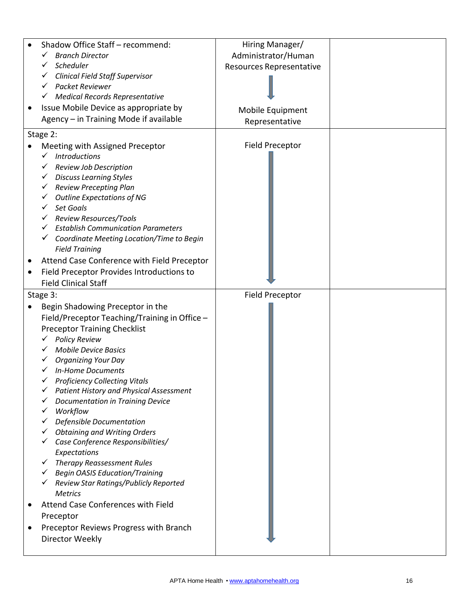|           | Shadow Office Staff - recommend:               | Hiring Manager/          |  |
|-----------|------------------------------------------------|--------------------------|--|
|           | <b>Branch Director</b>                         | Administrator/Human      |  |
|           | Scheduler                                      | Resources Representative |  |
|           | <b>Clinical Field Staff Supervisor</b>         |                          |  |
|           | Packet Reviewer                                |                          |  |
|           | <b>Medical Records Representative</b>          |                          |  |
| $\bullet$ | Issue Mobile Device as appropriate by          | Mobile Equipment         |  |
|           | Agency - in Training Mode if available         | Representative           |  |
|           | Stage 2:                                       |                          |  |
|           | Meeting with Assigned Preceptor                | Field Preceptor          |  |
|           | <b>Introductions</b>                           |                          |  |
|           | Review Job Description                         |                          |  |
|           | <b>Discuss Learning Styles</b><br>$\checkmark$ |                          |  |
|           | <b>Review Precepting Plan</b><br>✓             |                          |  |
|           | <b>Outline Expectations of NG</b><br>✓         |                          |  |
|           | Set Goals                                      |                          |  |
|           | Review Resources/Tools                         |                          |  |
|           | <b>Establish Communication Parameters</b>      |                          |  |
|           | Coordinate Meeting Location/Time to Begin      |                          |  |
|           | <b>Field Training</b>                          |                          |  |
|           | Attend Case Conference with Field Preceptor    |                          |  |
|           | Field Preceptor Provides Introductions to      |                          |  |
|           | <b>Field Clinical Staff</b>                    |                          |  |
|           | Stage 3:                                       | <b>Field Preceptor</b>   |  |
|           | Begin Shadowing Preceptor in the               |                          |  |
|           | Field/Preceptor Teaching/Training in Office -  |                          |  |
|           | <b>Preceptor Training Checklist</b>            |                          |  |
|           | <b>Policy Review</b>                           |                          |  |
|           | <b>Mobile Device Basics</b>                    |                          |  |
|           | <b>Organizing Your Day</b>                     |                          |  |
|           | <b>In-Home Documents</b>                       |                          |  |
|           | <b>Proficiency Collecting Vitals</b>           |                          |  |
|           | <b>Patient History and Physical Assessment</b> |                          |  |
|           | <b>Documentation in Training Device</b>        |                          |  |
|           | Workflow                                       |                          |  |
|           | Defensible Documentation                       |                          |  |
|           | <b>Obtaining and Writing Orders</b>            |                          |  |
|           | Case Conference Responsibilities/              |                          |  |
|           | Expectations                                   |                          |  |
|           | <b>Therapy Reassessment Rules</b><br>✓         |                          |  |
|           | <b>Begin OASIS Education/Training</b><br>✓     |                          |  |
|           | Review Star Ratings/Publicly Reported          |                          |  |
|           | <b>Metrics</b>                                 |                          |  |
|           | Attend Case Conferences with Field             |                          |  |
|           | Preceptor                                      |                          |  |
|           | Preceptor Reviews Progress with Branch         |                          |  |
|           | Director Weekly                                |                          |  |
|           |                                                |                          |  |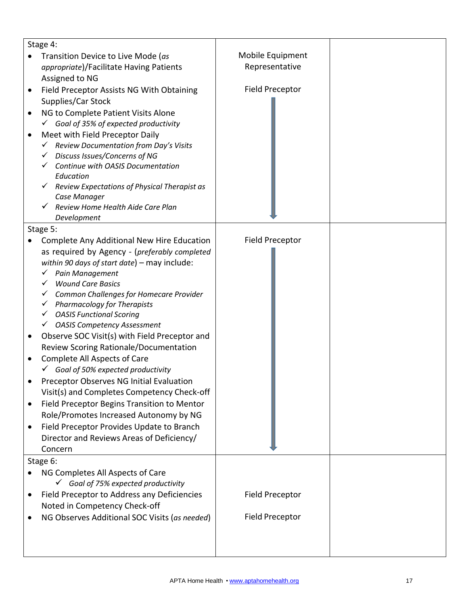|                                         | Stage 4:                                                                       |                        |  |
|-----------------------------------------|--------------------------------------------------------------------------------|------------------------|--|
|                                         | Transition Device to Live Mode (as                                             | Mobile Equipment       |  |
| appropriate)/Facilitate Having Patients |                                                                                | Representative         |  |
|                                         | Assigned to NG                                                                 |                        |  |
| ٠                                       | Field Preceptor Assists NG With Obtaining                                      | <b>Field Preceptor</b> |  |
|                                         | Supplies/Car Stock                                                             |                        |  |
| $\bullet$                               | NG to Complete Patient Visits Alone                                            |                        |  |
|                                         | $\checkmark$ Goal of 35% of expected productivity                              |                        |  |
|                                         |                                                                                |                        |  |
|                                         | Meet with Field Preceptor Daily<br>Review Documentation from Day's Visits<br>✓ |                        |  |
|                                         | Discuss Issues/Concerns of NG                                                  |                        |  |
|                                         | Continue with OASIS Documentation                                              |                        |  |
|                                         | Education                                                                      |                        |  |
|                                         | Review Expectations of Physical Therapist as<br>✓                              |                        |  |
|                                         | Case Manager                                                                   |                        |  |
|                                         | Review Home Health Aide Care Plan                                              |                        |  |
|                                         | Development                                                                    |                        |  |
|                                         | Stage 5:                                                                       |                        |  |
|                                         | Complete Any Additional New Hire Education                                     | <b>Field Preceptor</b> |  |
|                                         | as required by Agency - (preferably completed                                  |                        |  |
|                                         | within 90 days of start date) - may include:                                   |                        |  |
|                                         | Pain Management                                                                |                        |  |
|                                         | <b>Wound Care Basics</b>                                                       |                        |  |
|                                         | Common Challenges for Homecare Provider                                        |                        |  |
|                                         | Pharmacology for Therapists<br>$\checkmark$                                    |                        |  |
|                                         | <b>OASIS Functional Scoring</b>                                                |                        |  |
|                                         | <b>OASIS Competency Assessment</b><br>✓                                        |                        |  |
| $\bullet$                               | Observe SOC Visit(s) with Field Preceptor and                                  |                        |  |
|                                         | Review Scoring Rationale/Documentation                                         |                        |  |
|                                         | <b>Complete All Aspects of Care</b>                                            |                        |  |
|                                         | $\checkmark$ Goal of 50% expected productivity                                 |                        |  |
|                                         | Preceptor Observes NG Initial Evaluation                                       |                        |  |
|                                         |                                                                                |                        |  |
|                                         | Visit(s) and Completes Competency Check-off                                    |                        |  |
|                                         | Field Preceptor Begins Transition to Mentor                                    |                        |  |
|                                         | Role/Promotes Increased Autonomy by NG                                         |                        |  |
|                                         | Field Preceptor Provides Update to Branch                                      |                        |  |
|                                         | Director and Reviews Areas of Deficiency/                                      |                        |  |
|                                         | Concern                                                                        |                        |  |
|                                         | Stage 6:                                                                       |                        |  |
|                                         | NG Completes All Aspects of Care                                               |                        |  |
|                                         | $\checkmark$ Goal of 75% expected productivity                                 |                        |  |
|                                         | Field Preceptor to Address any Deficiencies                                    | Field Preceptor        |  |
|                                         | Noted in Competency Check-off                                                  |                        |  |
|                                         | NG Observes Additional SOC Visits (as needed)                                  | <b>Field Preceptor</b> |  |
|                                         |                                                                                |                        |  |
|                                         |                                                                                |                        |  |
|                                         |                                                                                |                        |  |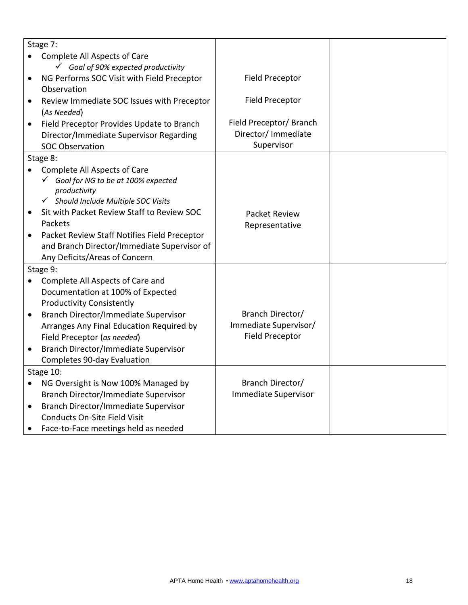|           | Stage 7:                                                                                    |                             |  |
|-----------|---------------------------------------------------------------------------------------------|-----------------------------|--|
|           | Complete All Aspects of Care                                                                |                             |  |
|           | $\checkmark$ Goal of 90% expected productivity                                              |                             |  |
| ٠         | NG Performs SOC Visit with Field Preceptor                                                  | Field Preceptor             |  |
|           | Observation                                                                                 |                             |  |
| $\bullet$ | Review Immediate SOC Issues with Preceptor                                                  | <b>Field Preceptor</b>      |  |
|           | (As Needed)                                                                                 |                             |  |
| $\bullet$ | Field Preceptor Provides Update to Branch                                                   | Field Preceptor/ Branch     |  |
|           | Director/Immediate Supervisor Regarding                                                     | Director/ Immediate         |  |
|           | <b>SOC Observation</b>                                                                      | Supervisor                  |  |
|           | Stage 8:                                                                                    |                             |  |
|           | Complete All Aspects of Care                                                                |                             |  |
|           | Goal for NG to be at 100% expected                                                          |                             |  |
|           | productivity                                                                                |                             |  |
|           | Should Include Multiple SOC Visits<br>$\checkmark$                                          |                             |  |
|           | Sit with Packet Review Staff to Review SOC<br>Packets                                       | <b>Packet Review</b>        |  |
|           |                                                                                             | Representative              |  |
| $\bullet$ | Packet Review Staff Notifies Field Preceptor<br>and Branch Director/Immediate Supervisor of |                             |  |
|           | Any Deficits/Areas of Concern                                                               |                             |  |
|           | Stage 9:                                                                                    |                             |  |
|           | Complete All Aspects of Care and                                                            |                             |  |
|           | Documentation at 100% of Expected                                                           |                             |  |
|           | <b>Productivity Consistently</b>                                                            |                             |  |
| $\bullet$ | Branch Director/Immediate Supervisor                                                        | Branch Director/            |  |
|           | Arranges Any Final Education Required by                                                    | Immediate Supervisor/       |  |
|           | Field Preceptor (as needed)                                                                 | <b>Field Preceptor</b>      |  |
|           | <b>Branch Director/Immediate Supervisor</b>                                                 |                             |  |
|           | Completes 90-day Evaluation                                                                 |                             |  |
|           | Stage 10:                                                                                   |                             |  |
|           | NG Oversight is Now 100% Managed by                                                         | Branch Director/            |  |
|           | Branch Director/Immediate Supervisor                                                        | <b>Immediate Supervisor</b> |  |
| $\bullet$ | <b>Branch Director/Immediate Supervisor</b>                                                 |                             |  |
|           | Conducts On-Site Field Visit                                                                |                             |  |
|           | Face-to-Face meetings held as needed                                                        |                             |  |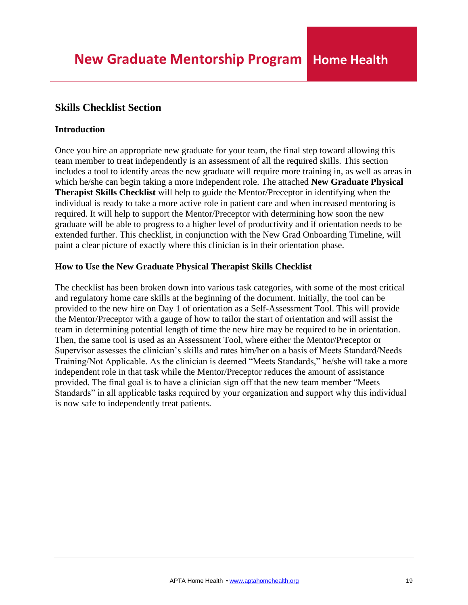## <span id="page-18-0"></span>**Skills Checklist Section**

### **Introduction**

Once you hire an appropriate new graduate for your team, the final step toward allowing this team member to treat independently is an assessment of all the required skills. This section includes a tool to identify areas the new graduate will require more training in, as well as areas in which he/she can begin taking a more independent role. The attached **New Graduate Physical Therapist Skills Checklist** will help to guide the Mentor/Preceptor in identifying when the individual is ready to take a more active role in patient care and when increased mentoring is required. It will help to support the Mentor/Preceptor with determining how soon the new graduate will be able to progress to a higher level of productivity and if orientation needs to be extended further. This checklist, in conjunction with the New Grad Onboarding Timeline, will paint a clear picture of exactly where this clinician is in their orientation phase.

## **How to Use the New Graduate Physical Therapist Skills Checklist**

The checklist has been broken down into various task categories, with some of the most critical and regulatory home care skills at the beginning of the document. Initially, the tool can be provided to the new hire on Day 1 of orientation as a Self-Assessment Tool. This will provide the Mentor/Preceptor with a gauge of how to tailor the start of orientation and will assist the team in determining potential length of time the new hire may be required to be in orientation. Then, the same tool is used as an Assessment Tool, where either the Mentor/Preceptor or Supervisor assesses the clinician's skills and rates him/her on a basis of Meets Standard/Needs Training/Not Applicable. As the clinician is deemed "Meets Standards," he/she will take a more independent role in that task while the Mentor/Preceptor reduces the amount of assistance provided. The final goal is to have a clinician sign off that the new team member "Meets Standards" in all applicable tasks required by your organization and support why this individual is now safe to independently treat patients.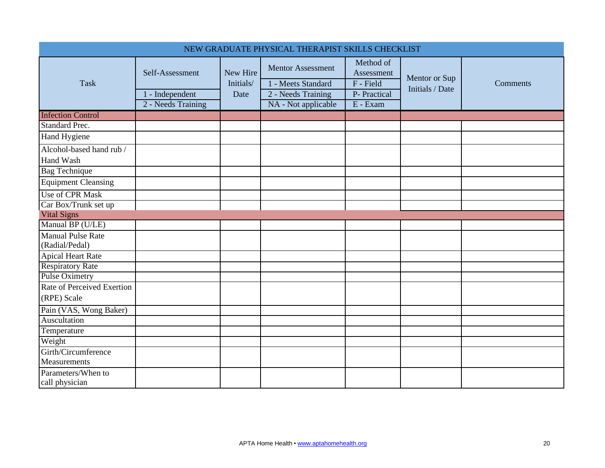<span id="page-19-0"></span>

|                                            |                                       |                       | NEW GRADUATE PHYSICAL THERAPIST SKILLS CHECKLIST |                                        |                                  |                 |
|--------------------------------------------|---------------------------------------|-----------------------|--------------------------------------------------|----------------------------------------|----------------------------------|-----------------|
| <b>Task</b>                                | Self-Assessment                       | New Hire<br>Initials/ | <b>Mentor Assessment</b><br>1 - Meets Standard   | Method of<br>Assessment<br>$F$ - Field | Mentor or Sup<br>Initials / Date | <b>Comments</b> |
|                                            | 1 - Independent<br>2 - Needs Training | Date                  | 2 - Needs Training<br>NA - Not applicable        | P- Practical<br>E - Exam               |                                  |                 |
| <b>Infection Control</b>                   |                                       |                       |                                                  |                                        |                                  |                 |
| <b>Standard Prec.</b>                      |                                       |                       |                                                  |                                        |                                  |                 |
| Hand Hygiene                               |                                       |                       |                                                  |                                        |                                  |                 |
| Alcohol-based hand rub /<br>Hand Wash      |                                       |                       |                                                  |                                        |                                  |                 |
| <b>Bag Technique</b>                       |                                       |                       |                                                  |                                        |                                  |                 |
| <b>Equipment Cleansing</b>                 |                                       |                       |                                                  |                                        |                                  |                 |
| <b>Use of CPR Mask</b>                     |                                       |                       |                                                  |                                        |                                  |                 |
| Car Box/Trunk set up                       |                                       |                       |                                                  |                                        |                                  |                 |
| <b>Vital Signs</b>                         |                                       |                       |                                                  |                                        |                                  |                 |
| Manual BP (U/LE)                           |                                       |                       |                                                  |                                        |                                  |                 |
| <b>Manual Pulse Rate</b><br>(Radial/Pedal) |                                       |                       |                                                  |                                        |                                  |                 |
| <b>Apical Heart Rate</b>                   |                                       |                       |                                                  |                                        |                                  |                 |
| <b>Respiratory Rate</b>                    |                                       |                       |                                                  |                                        |                                  |                 |
| <b>Pulse Oximetry</b>                      |                                       |                       |                                                  |                                        |                                  |                 |
| Rate of Perceived Exertion                 |                                       |                       |                                                  |                                        |                                  |                 |
| (RPE) Scale                                |                                       |                       |                                                  |                                        |                                  |                 |
| Pain (VAS, Wong Baker)                     |                                       |                       |                                                  |                                        |                                  |                 |
| Auscultation                               |                                       |                       |                                                  |                                        |                                  |                 |
| Temperature                                |                                       |                       |                                                  |                                        |                                  |                 |
| Weight                                     |                                       |                       |                                                  |                                        |                                  |                 |
| Girth/Circumference<br>Measurements        |                                       |                       |                                                  |                                        |                                  |                 |
| Parameters/When to<br>call physician       |                                       |                       |                                                  |                                        |                                  |                 |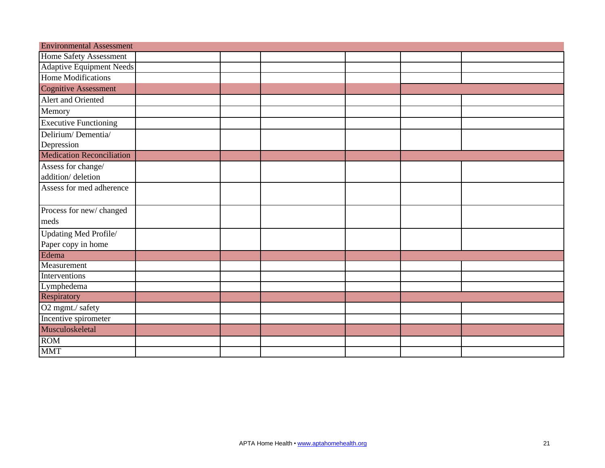| <b>Environmental Assessment</b>  |  |  |  |  |  |  |  |
|----------------------------------|--|--|--|--|--|--|--|
| Home Safety Assessment           |  |  |  |  |  |  |  |
| <b>Adaptive Equipment Needs</b>  |  |  |  |  |  |  |  |
| Home Modifications               |  |  |  |  |  |  |  |
| <b>Cognitive Assessment</b>      |  |  |  |  |  |  |  |
| Alert and Oriented               |  |  |  |  |  |  |  |
| Memory                           |  |  |  |  |  |  |  |
| <b>Executive Functioning</b>     |  |  |  |  |  |  |  |
| Delirium/Dementia/               |  |  |  |  |  |  |  |
| Depression                       |  |  |  |  |  |  |  |
| <b>Medication Reconciliation</b> |  |  |  |  |  |  |  |
| Assess for change/               |  |  |  |  |  |  |  |
| addition/deletion                |  |  |  |  |  |  |  |
| Assess for med adherence         |  |  |  |  |  |  |  |
|                                  |  |  |  |  |  |  |  |
| Process for new/changed          |  |  |  |  |  |  |  |
| meds                             |  |  |  |  |  |  |  |
| Updating Med Profile/            |  |  |  |  |  |  |  |
| Paper copy in home               |  |  |  |  |  |  |  |
| Edema                            |  |  |  |  |  |  |  |
| Measurement                      |  |  |  |  |  |  |  |
| Interventions                    |  |  |  |  |  |  |  |
| Lymphedema                       |  |  |  |  |  |  |  |
| Respiratory                      |  |  |  |  |  |  |  |
| O2 mgmt./ safety                 |  |  |  |  |  |  |  |
| Incentive spirometer             |  |  |  |  |  |  |  |
| Musculoskeletal                  |  |  |  |  |  |  |  |
| ROM                              |  |  |  |  |  |  |  |
| <b>MMT</b>                       |  |  |  |  |  |  |  |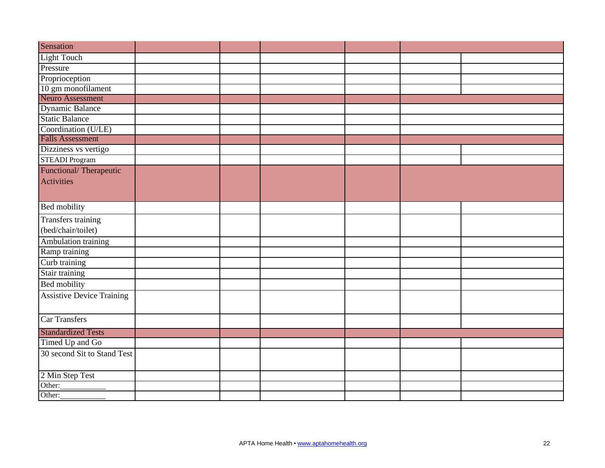| Sensation                        |  |  |  |
|----------------------------------|--|--|--|
| <b>Light Touch</b>               |  |  |  |
| Pressure                         |  |  |  |
| Proprioception                   |  |  |  |
| 10 gm monofilament               |  |  |  |
| <b>Neuro Assessment</b>          |  |  |  |
| <b>Dynamic Balance</b>           |  |  |  |
| <b>Static Balance</b>            |  |  |  |
| Coordination (U/LE)              |  |  |  |
| <b>Falls Assessment</b>          |  |  |  |
| Dizziness vs vertigo             |  |  |  |
| <b>STEADI Program</b>            |  |  |  |
| Functional/Therapeutic           |  |  |  |
| <b>Activities</b>                |  |  |  |
|                                  |  |  |  |
| <b>Bed mobility</b>              |  |  |  |
| Transfers training               |  |  |  |
| (bed/chair/toilet)               |  |  |  |
| Ambulation training              |  |  |  |
| Ramp training                    |  |  |  |
| Curb training                    |  |  |  |
| Stair training                   |  |  |  |
| <b>Bed mobility</b>              |  |  |  |
| <b>Assistive Device Training</b> |  |  |  |
|                                  |  |  |  |
| <b>Car Transfers</b>             |  |  |  |
| <b>Standardized Tests</b>        |  |  |  |
| Timed Up and Go                  |  |  |  |
| 30 second Sit to Stand Test      |  |  |  |
|                                  |  |  |  |
| 2 Min Step Test                  |  |  |  |
| Other:                           |  |  |  |
| Other:                           |  |  |  |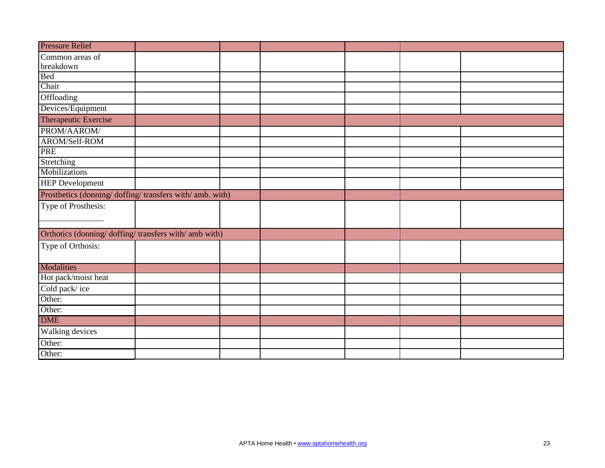| <b>Pressure Relief</b>                                 |  |  |  |
|--------------------------------------------------------|--|--|--|
| Common areas of                                        |  |  |  |
| breakdown                                              |  |  |  |
| Bed                                                    |  |  |  |
| Chair                                                  |  |  |  |
| Offloading                                             |  |  |  |
| Devices/Equipment                                      |  |  |  |
| Therapeutic Exercise                                   |  |  |  |
| PROM/AAROM/                                            |  |  |  |
| AROM/Self-ROM                                          |  |  |  |
| <b>PRE</b>                                             |  |  |  |
| Stretching                                             |  |  |  |
| Mobilizations                                          |  |  |  |
| <b>HEP</b> Development                                 |  |  |  |
| Prosthetics (donning/doffing/transfers with/amb. with) |  |  |  |
| Type of Prosthesis:                                    |  |  |  |
|                                                        |  |  |  |
| Orthotics (donning/doffing/transfers with/amb with)    |  |  |  |
|                                                        |  |  |  |
| Type of Orthosis:                                      |  |  |  |
|                                                        |  |  |  |
| <b>Modalities</b>                                      |  |  |  |
| Hot pack/moist heat                                    |  |  |  |
| Cold pack/ice                                          |  |  |  |
| Other:                                                 |  |  |  |
| Other:                                                 |  |  |  |
| <b>DME</b>                                             |  |  |  |
| Walking devices                                        |  |  |  |
| Other:                                                 |  |  |  |
| Other:                                                 |  |  |  |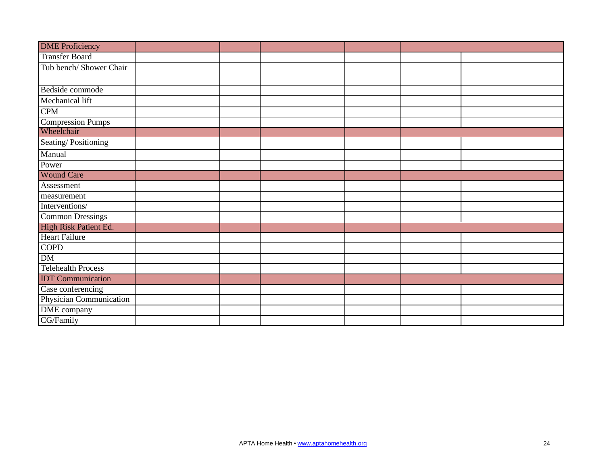| <b>DME</b> Proficiency    |  |  |  |
|---------------------------|--|--|--|
| <b>Transfer Board</b>     |  |  |  |
| Tub bench/Shower Chair    |  |  |  |
|                           |  |  |  |
| Bedside commode           |  |  |  |
| Mechanical lift           |  |  |  |
| <b>CPM</b>                |  |  |  |
| <b>Compression Pumps</b>  |  |  |  |
| Wheelchair                |  |  |  |
| Seating/Positioning       |  |  |  |
| Manual                    |  |  |  |
| Power                     |  |  |  |
| <b>Wound Care</b>         |  |  |  |
| Assessment                |  |  |  |
| measurement               |  |  |  |
| Interventions/            |  |  |  |
| <b>Common Dressings</b>   |  |  |  |
| High Risk Patient Ed.     |  |  |  |
| <b>Heart Failure</b>      |  |  |  |
| <b>COPD</b>               |  |  |  |
| DM                        |  |  |  |
| <b>Telehealth Process</b> |  |  |  |
| <b>IDT</b> Communication  |  |  |  |
| Case conferencing         |  |  |  |
| Physician Communication   |  |  |  |
| DME company               |  |  |  |
| CG/Family                 |  |  |  |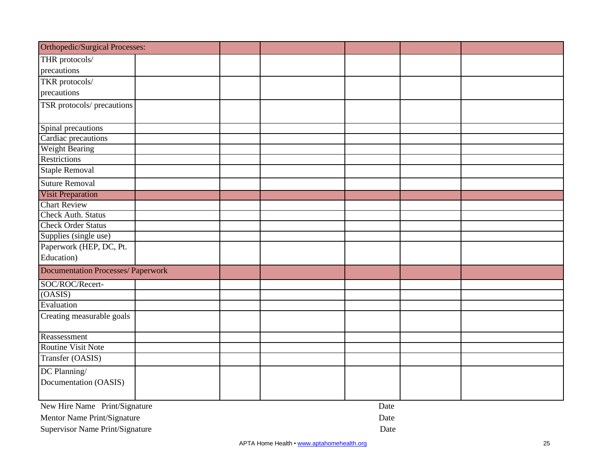| Orthopedic/Surgical Processes:            |  |  |  |  |  |  |
|-------------------------------------------|--|--|--|--|--|--|
| THR protocols/                            |  |  |  |  |  |  |
| precautions                               |  |  |  |  |  |  |
| TKR protocols/                            |  |  |  |  |  |  |
| precautions                               |  |  |  |  |  |  |
| TSR protocols/ precautions                |  |  |  |  |  |  |
|                                           |  |  |  |  |  |  |
| Spinal precautions                        |  |  |  |  |  |  |
| Cardiac precautions                       |  |  |  |  |  |  |
| Weight Bearing                            |  |  |  |  |  |  |
| <b>Restrictions</b>                       |  |  |  |  |  |  |
| <b>Staple Removal</b>                     |  |  |  |  |  |  |
| <b>Suture Removal</b>                     |  |  |  |  |  |  |
| <b>Visit Preparation</b>                  |  |  |  |  |  |  |
| <b>Chart Review</b>                       |  |  |  |  |  |  |
| <b>Check Auth. Status</b>                 |  |  |  |  |  |  |
| <b>Check Order Status</b>                 |  |  |  |  |  |  |
| Supplies (single use)                     |  |  |  |  |  |  |
| Paperwork (HEP, DC, Pt.                   |  |  |  |  |  |  |
| Education)                                |  |  |  |  |  |  |
| <b>Documentation Processes/ Paperwork</b> |  |  |  |  |  |  |
| SOC/ROC/Recert-                           |  |  |  |  |  |  |
| (OASIS)                                   |  |  |  |  |  |  |
| Evaluation                                |  |  |  |  |  |  |
| Creating measurable goals                 |  |  |  |  |  |  |
| Reassessment                              |  |  |  |  |  |  |
| <b>Routine Visit Note</b>                 |  |  |  |  |  |  |
| Transfer (OASIS)                          |  |  |  |  |  |  |
| DC Planning/                              |  |  |  |  |  |  |
| Documentation (OASIS)                     |  |  |  |  |  |  |
| New Hire Name Print/Signature<br>Date     |  |  |  |  |  |  |

Mentor Name Print/Signature Date

Supervisor Name Print/Signature Date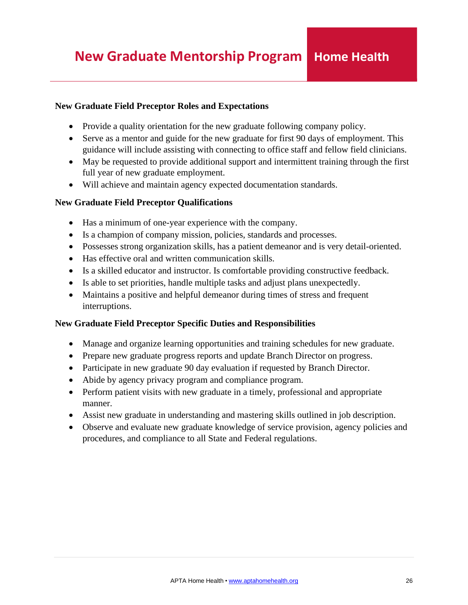## <span id="page-25-0"></span>**New Graduate Field Preceptor Roles and Expectations**

- Provide a quality orientation for the new graduate following company policy.
- Serve as a mentor and guide for the new graduate for first 90 days of employment. This guidance will include assisting with connecting to office staff and fellow field clinicians.
- May be requested to provide additional support and intermittent training through the first full year of new graduate employment.
- Will achieve and maintain agency expected documentation standards.

## **New Graduate Field Preceptor Qualifications**

- Has a minimum of one-year experience with the company.
- Is a champion of company mission, policies, standards and processes.
- Possesses strong organization skills, has a patient demeanor and is very detail-oriented.
- Has effective oral and written communication skills.
- Is a skilled educator and instructor. Is comfortable providing constructive feedback.
- Is able to set priorities, handle multiple tasks and adjust plans unexpectedly.
- Maintains a positive and helpful demeanor during times of stress and frequent interruptions.

## **New Graduate Field Preceptor Specific Duties and Responsibilities**

- Manage and organize learning opportunities and training schedules for new graduate.
- Prepare new graduate progress reports and update Branch Director on progress.
- Participate in new graduate 90 day evaluation if requested by Branch Director.
- Abide by agency privacy program and compliance program.
- Perform patient visits with new graduate in a timely, professional and appropriate manner.
- Assist new graduate in understanding and mastering skills outlined in job description.
- Observe and evaluate new graduate knowledge of service provision, agency policies and procedures, and compliance to all State and Federal regulations.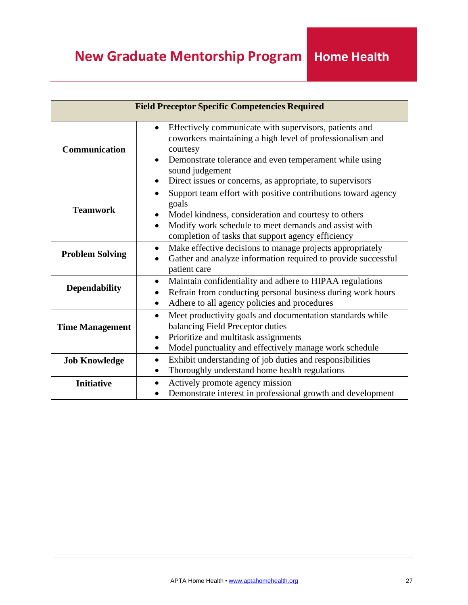| <b>Field Preceptor Specific Competencies Required</b> |                                                                                                                                                                                                                                                                                                     |  |  |  |
|-------------------------------------------------------|-----------------------------------------------------------------------------------------------------------------------------------------------------------------------------------------------------------------------------------------------------------------------------------------------------|--|--|--|
| Communication                                         | Effectively communicate with supervisors, patients and<br>$\bullet$<br>coworkers maintaining a high level of professionalism and<br>courtesy<br>Demonstrate tolerance and even temperament while using<br>sound judgement<br>Direct issues or concerns, as appropriate, to supervisors<br>$\bullet$ |  |  |  |
| <b>Teamwork</b>                                       | Support team effort with positive contributions toward agency<br>$\bullet$<br>goals<br>Model kindness, consideration and courtesy to others<br>Modify work schedule to meet demands and assist with<br>$\bullet$<br>completion of tasks that support agency efficiency                              |  |  |  |
| <b>Problem Solving</b>                                | Make effective decisions to manage projects appropriately<br>$\bullet$<br>Gather and analyze information required to provide successful<br>patient care                                                                                                                                             |  |  |  |
| <b>Dependability</b>                                  | Maintain confidentiality and adhere to HIPAA regulations<br>$\bullet$<br>Refrain from conducting personal business during work hours<br>$\bullet$<br>Adhere to all agency policies and procedures                                                                                                   |  |  |  |
| <b>Time Management</b>                                | Meet productivity goals and documentation standards while<br>$\bullet$<br>balancing Field Preceptor duties<br>Prioritize and multitask assignments<br>$\bullet$<br>Model punctuality and effectively manage work schedule<br>$\bullet$                                                              |  |  |  |
| <b>Job Knowledge</b>                                  | Exhibit understanding of job duties and responsibilities<br>$\bullet$<br>Thoroughly understand home health regulations<br>$\bullet$                                                                                                                                                                 |  |  |  |
| <b>Initiative</b>                                     | Actively promote agency mission<br>$\bullet$<br>Demonstrate interest in professional growth and development<br>$\bullet$                                                                                                                                                                            |  |  |  |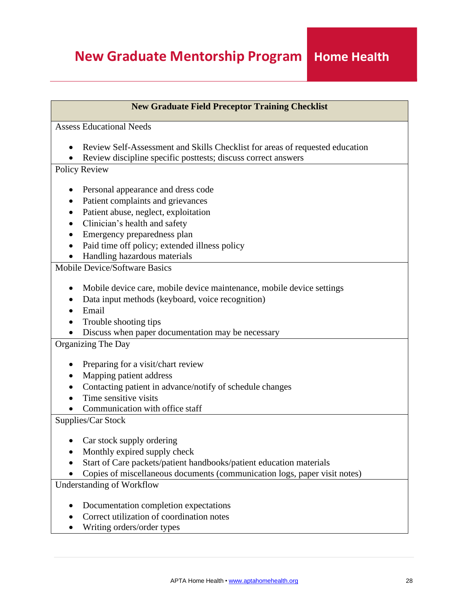## **New Graduate Mentorship Program**

## **New Graduate Field Preceptor Training Checklist** Assess Educational Needs • Review Self-Assessment and Skills Checklist for areas of requested education • Review discipline specific posttests; discuss correct answers Policy Review • Personal appearance and dress code • Patient complaints and grievances • Patient abuse, neglect, exploitation • Clinician's health and safety • Emergency preparedness plan • Paid time off policy; extended illness policy • Handling hazardous materials Mobile Device/Software Basics • Mobile device care, mobile device maintenance, mobile device settings • Data input methods (keyboard, voice recognition) • Email • Trouble shooting tips • Discuss when paper documentation may be necessary Organizing The Day • Preparing for a visit/chart review • Mapping patient address • Contacting patient in advance/notify of schedule changes • Time sensitive visits • Communication with office staff Supplies/Car Stock • Car stock supply ordering • Monthly expired supply check • Start of Care packets/patient handbooks/patient education materials • Copies of miscellaneous documents (communication logs, paper visit notes) Understanding of Workflow

- Documentation completion expectations
- Correct utilization of coordination notes
- Writing orders/order types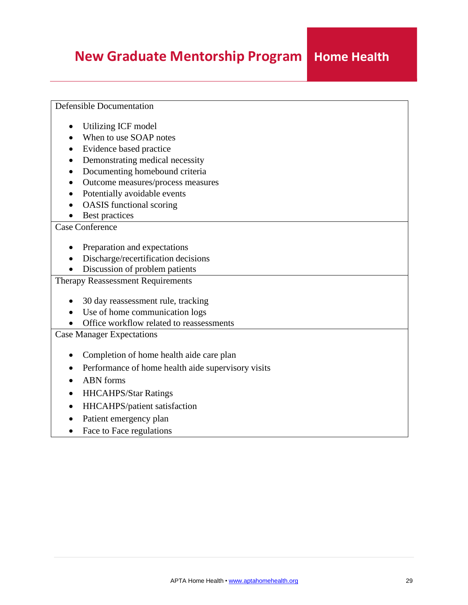## **New Graduate Mentorship Program**

## Defensible Documentation

- Utilizing ICF model
- When to use SOAP notes
- Evidence based practice
- Demonstrating medical necessity
- Documenting homebound criteria
- Outcome measures/process measures
- Potentially avoidable events
- OASIS functional scoring
- Best practices

## Case Conference

- Preparation and expectations
- Discharge/recertification decisions
- Discussion of problem patients

## Therapy Reassessment Requirements

- 30 day reassessment rule, tracking
- Use of home communication logs
- Office workflow related to reassessments

Case Manager Expectations

- Completion of home health aide care plan
- Performance of home health aide supervisory visits
- ABN forms
- HHCAHPS/Star Ratings
- HHCAHPS/patient satisfaction
- Patient emergency plan
- Face to Face regulations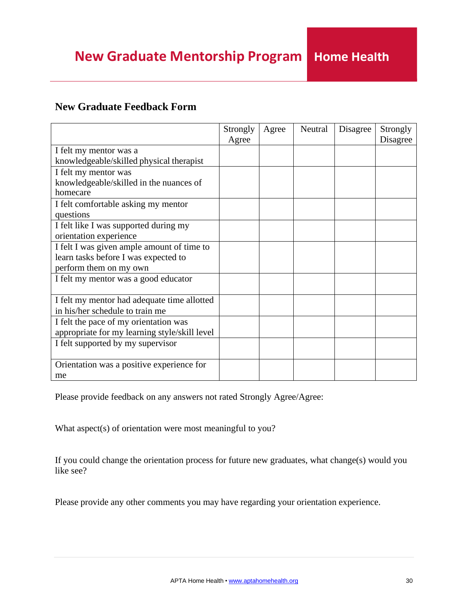## **Home Health**

## <span id="page-29-0"></span>**New Graduate Feedback Form**

|                                               | Strongly | Agree | Neutral | Disagree | Strongly |
|-----------------------------------------------|----------|-------|---------|----------|----------|
|                                               | Agree    |       |         |          | Disagree |
| I felt my mentor was a                        |          |       |         |          |          |
| knowledgeable/skilled physical therapist      |          |       |         |          |          |
| I felt my mentor was                          |          |       |         |          |          |
| knowledgeable/skilled in the nuances of       |          |       |         |          |          |
| homecare                                      |          |       |         |          |          |
| I felt comfortable asking my mentor           |          |       |         |          |          |
| questions                                     |          |       |         |          |          |
| I felt like I was supported during my         |          |       |         |          |          |
| orientation experience                        |          |       |         |          |          |
| I felt I was given ample amount of time to    |          |       |         |          |          |
| learn tasks before I was expected to          |          |       |         |          |          |
| perform them on my own                        |          |       |         |          |          |
| I felt my mentor was a good educator          |          |       |         |          |          |
|                                               |          |       |         |          |          |
| I felt my mentor had adequate time allotted   |          |       |         |          |          |
| in his/her schedule to train me               |          |       |         |          |          |
| I felt the pace of my orientation was         |          |       |         |          |          |
| appropriate for my learning style/skill level |          |       |         |          |          |
| I felt supported by my supervisor             |          |       |         |          |          |
|                                               |          |       |         |          |          |
| Orientation was a positive experience for     |          |       |         |          |          |
| me                                            |          |       |         |          |          |

Please provide feedback on any answers not rated Strongly Agree/Agree:

What aspect(s) of orientation were most meaningful to you?

If you could change the orientation process for future new graduates, what change(s) would you like see?

Please provide any other comments you may have regarding your orientation experience.